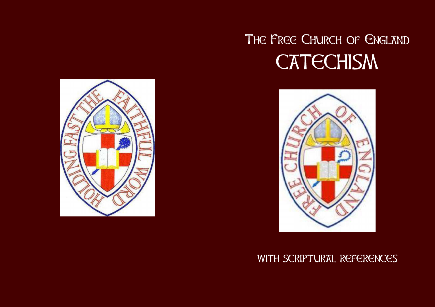# THE FREE CHURCH OF ENGLAND **CATECHISM**



WITH SCRIPTURAL REFERENCES

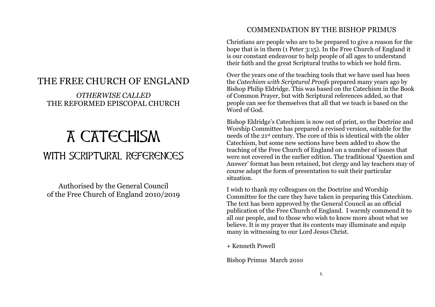## THE FREE CHURCH OF ENGLAND

### *OTHERWISE CALLED* THE REFORMED EPISCOPAL CHURCH

## A CATECHISM WITH SCRIPTURAL REFERENCES

Authorised by the General Council of the Free Church of England 2010/2019

#### COMMENDATION BY THE BISHOP PRIMUS

Christians are people who are to be prepared to give a reason for the hope that is in them (1 Peter 3:15). In the Free Church of England it is our constant endeavour to help people of all ages to understand their faith and the great Scriptural truths to which we hold firm.

Over the years one of the teaching tools that we have used has been the *Catechism with Scriptural Proofs* prepared many years ago by Bishop Philip Eldridge. This was based on the Catechism in the Book of Common Prayer, but with Scriptural references added, so that people can see for themselves that all that we teach is based on the Word of God.

Bishop Eldridge's Catechism is now out of print, so the Doctrine and Worship Committee has prepared a revised version, suitable for the needs of the 21st century. The core of this is identical with the older Catechism, but some new sections have been added to show the teaching of the Free Church of England on a number of issues that were not covered in the earlier edition. The traditional 'Question and Answer' format has been retained, but clergy and lay teachers may of course adapt the form of presentation to suit their particular situation.

I wish to thank my colleagues on the Doctrine and Worship Committee for the care they have taken in preparing this Catechism. The text has been approved by the General Council as an official publication of the Free Church of England. I warmly commend it to all our people, and to those who wish to know more about what we believe. It is my prayer that its contents may illuminate and equip many in witnessing to our Lord Jesus Christ.

+ Kenneth Powell

Bishop Primus March 2010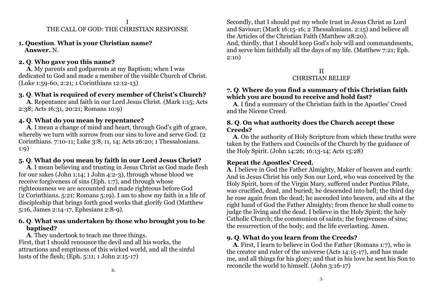**1. Question**. **What is your Christian name? Answer.** N.

#### **2. Q**. **Who gave you this name?**

 **A**. My parents and godparents at my Baptism; when I was dedicated to God and made a member of the visible Church of Christ. (Luke 1:59-60, 2:21; 1 Corinthians 12:12-13)

#### **3. Q**. **What is required of every member of Christ's Church?**

 **A**. Repentance and faith in our Lord Jesus Christ. (Mark 1:15; Acts 2:38; Acts 16:31, 20:21; Romans 10:9)

#### **4. Q**. **What do you mean by repentance?**

 **A**. I mean a change of mind and heart, through God's gift of grace, whereby we turn with sorrow from our sins to love and serve God. (2) Corinthians. 7:10-11; Luke 3:8, 11, 14; Acts 26:20; 1 Thessalonians. 1:9)

#### **5. Q**. **What do you mean by faith in our Lord Jesus Christ?**

**A***.* I mean believing and trusting in Jesus Christ as God made flesh for our sakes (John 1:14; 1 John 4:2-3), through whose blood we receive forgiveness of sins (Eph. 1:7), and through whose righteousness we are accounted and made righteous before God (2 Corinthians. 5:21; Romans 5:19). I am to show my faith in a life of discipleship that brings forth good works that glorify God (Matthew 5:16, James 2:14-17, Ephesians 2:8-9).

#### **6. Q**. **What was undertaken by those who brought you to be baptised?**

 **A**. They undertook to teach me three things. First, that I should renounce the devil and all his works, the attractions and emptiness of this wicked world, and all the sinful lusts of the flesh; (Eph. 5:11; 1 John 2:15-17)

Secondly, that I should put my whole trust in Jesus Christ as Lord and Saviour; (Mark 16:15-16; 2 Thessalonians. 2:15) and believe all the Articles of the Christian Faith (Matthew 28:20).

And, thirdly, that I should keep God's holy will and commandments, and serve him faithfully all the days of my life. (Matthew 7:21; Eph. 2:10)

#### II CHRISTIAN BELIEF

#### **7. Q**. **Where do you find a summary of this Christian faith which you are bound to receive and hold fast?**

 **A**. I find a summary of the Christian faith in the Apostles' Creed and the Nicene Creed.

#### **8. Q**. **On what authority does the Church accept these Creeds?**

 **A**. On the authority of Holy Scripture from which these truths were taken by the Fathers and Councils of the Church by the guidance of the Holy Spirit. (John 14:26; 16:13-14; Acts 15:28)

#### **Repeat the Apostles' Creed.**

**A**. I believe in God the Father Almighty, Maker of heaven and earth: And in Jesus Christ his only Son our Lord, who was conceived by the Holy Spirit, born of the Virgin Mary, suffered under Pontius Pilate, was crucified, dead, and buried; he descended into hell; the third day he rose again from the dead; he ascended into heaven, and sits at the right hand of God the Father Almighty; from thence he shall come to judge the living and the dead. I believe in the Holy Spirit; the holy Catholic Church; the communion of saints; the forgiveness of sins; the resurrection of the body; and the life everlasting. Amen.

#### **9. Q**. **What do you learn from the Creeds?**

 **A**. First, I learn to believe in God the Father (Romans 1:7), who is the creator and ruler of the universe (Acts 14:15-17), and has made me, and all things for his glory; and that in his love he sent his Son to reconcile the world to himself. (John 3:16-17)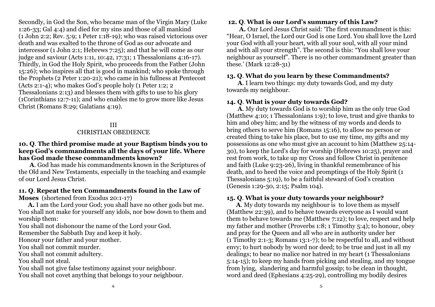Secondly, in God the Son, who became man of the Virgin Mary (Luke 1:26-33; Gal 4:4) and died for my sins and those of all mankind (1 John 2:2; Rev. 5:9; 1 Peter 1:18-19); who was raised victorious over death and was exalted to the throne of God as our advocate and intercessor (1 John 2:1; Hebrews 7:25); and that he will come as our judge and saviour (Acts 1:11, 10:42, 17:31; 1 Thessalonians 4:16-17). Thirdly, in God the Holy Spirit, who proceeds from the Father (John 15:26); who inspires all that is good in mankind; who spoke through the Prophets (2 Peter 1:20-21); who came in his fullness at Pentecost (Acts 2:1-4); who makes God's people holy (1 Peter 1:2; 2 Thessalonians 2:13) and blesses them with gifts to use to his glory (1Corinthians 12:7-11); and who enables me to grow more like Jesus Christ (Romans 8:29; Galatians 4:19).

#### III CHRISTIAN OBEDIENCE

#### **10. Q**. **The third promise made at your Baptism binds you to keep God's commandments all the days of your life. Where has God made these commandments known?**

 **A**. God has made his commandments known in the Scriptures of the Old and New Testaments, especially in the teaching and example of our Lord Jesus Christ.

#### **11. Q**. **Repeat the ten Commandments found in the Law of Moses** (shortened from Exodus 20:1-17)

 **A.** I am the Lord your God; you shall have no other gods but me. You shall not make for yourself any idols, nor bow down to them and worship them:

You shall not dishonour the name of the Lord your God.

Remember the Sabbath Day and keep it holy.

Honour your father and your mother.

You shall not commit murder.

You shall not commit adultery.

You shall not steal.

You shall not give false testimony against your neighbour. You shall not covet anything that belongs to your neighbour.

#### **12. Q***.* **What is our Lord's summary of this Law?**

 **A.** Our Lord Jesus Christ said: 'The first commandment is this: "Hear, O Israel, the Lord our God is one Lord. You shall love the Lord your God with all your heart, with all your soul, with all your mind and with all your strength". The second is this: "You shall love your neighbour as yourself". There is no other commandment greater than these.' (Mark 12:28-31)

#### **13. Q**. **What do you learn by these Commandments?**

 **A**. I learn two things: my duty towards God, and my duty towards my neighbour.

#### **14. Q**. **What is your duty towards God?**

 **A**. My duty towards God is to worship him as the only true God (Matthew 4:10; 1 Thessalonians 1:9); to love, trust and give thanks to him and obey him; and by the witness of my words and deeds to bring others to serve him (Romans 15:16), to allow no person or created thing to take his place, but to use my time, my gifts and my possessions as one who must give an account to him (Matthew 25:14- 30), to keep the Lord's day for worship (Hebrews 10:25), prayer and rest from work, to take up my Cross and follow Christ in penitence and faith (Luke 9:23-26), living in thankful remembrance of his death, and to heed the voice and promptings of the Holy Spirit (1 Thessalonians 5:19), to be a faithful steward of God's creation (Genesis 1:29-30, 2:15; Psalm 104).

#### **15. Q**. **What is your duty towards your neighbour?**

 **A**. My duty towards my neighbour is to love them as myself (Matthew 22:39), and to behave towards everyone as I would want them to behave towards me (Matthew 7:12); to love, respect and help my father and mother (Proverbs 1:8; 1 Timothy 5:4); to honour, obey and pray for the Queen and all who are in authority under her (1 Timothy 2:1-3; Romans 13:1-7); to be respectful to all, and without envy; to hurt nobody by word nor deed; to be true and just in all my dealings; to bear no malice nor hatred in my heart (1 Thessalonians 5:14-15); to keep my hands from picking and stealing, and my tongue from lying, slandering and harmful gossip; to be clean in thought, word and deed (Ephesians 4:25-29), controlling my bodily desires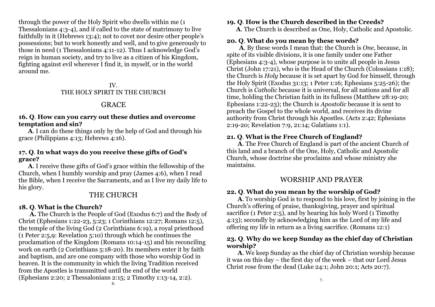through the power of the Holy Spirit who dwells within me (1 Thessalonians 4:3-4), and if called to the state of matrimony to live faithfully in it (Hebrews 13:4); not to covet nor desire other people's possessions; but to work honestly and well, and to give generously to those in need (1 Thessalonians 4:11-12). Thus I acknowledge God's reign in human society, and try to live as a citizen of his Kingdom, fighting against evil wherever I find it, in myself, or in the world around me.

#### IV. THE HOLY SPIRIT IN THE CHURCH

#### **GRACE**

#### **16. Q**. **How can you carry out these duties and overcome temptation and sin?**

 **A**. I can do these things only by the help of God and through his grace (Philippians 4:13; Hebrews 4:16).

#### **17. Q**. **In what ways do you receive these gifts of God's grace?**

 **A**. I receive these gifts of God's grace within the fellowship of the Church, when I humbly worship and pray (James 4:6), when I read the Bible, when I receive the Sacraments, and as I live my daily life to his glory.

#### THE CHURCH

#### **18. Q**. **What is the Church?**

 **A.** The Church is the People of God (Exodus 6:7) and the Body of Christ (Ephesians 1:22-23, 5:23; 1 Corinthians 12:27; Romans 12:5), the temple of the living God (2 Corinthians 6:19), a royal priesthood (1 Peter 2:5,9: Revelation 5:10) through which he continues the proclamation of the Kingdom (Romans 10:14-15) and his reconciling work on earth (2 Corinthians 5:18-20). Its members enter it by faith and baptism, and are one company with those who worship God in heaven. It is the community in which the living Tradition received from the Apostles is transmitted until the end of the world (Ephesians 2:20; 2 Thessalonians 2:15; 2 Timothy 1:13-14, 2:2).

#### **19. Q**. **How is the Church described in the Creeds?**

 **A**. The Church is described as One, Holy, Catholic and Apostolic.

#### **20. Q**. **What do you mean by these words?**

 **A**. By these words I mean that: the Church is *One*, because, in spite of its visible divisions, it is one family under one Father (Ephesians 4:3-4), whose purpose is to unite all people in Jesus Christ (John 17:21), who is the Head of the Church (Colossians 1:18); the Church is *Holy* because it is set apart by God for himself, through the Holy Spirit (Exodus 31:13; 1 Peter 1:16; Ephesians 5:25-26); the Church is *Catholic* because it is universal, for all nations and for all time, holding the Christian faith in its fullness (Matthew 28:19-20; Ephesians 1:22-23); the Church is *Apostolic* because it is sent to preach the Gospel to the whole world, and receives its divine authority from Christ through his Apostles. (Acts 2:42; Ephesians 2:19-20; Revelation 7:9, 21:14; Galatians 1:1).

#### **21. Q**. **What is the Free Church of England?**

 **A**. The Free Church of England is part of the ancient Church of this land and a branch of the One, Holy, Catholic and Apostolic Church, whose doctrine she proclaims and whose ministry she maintains.

#### WORSHIP AND PRAYER

#### **22. Q**. **What do you mean by the worship of God?**

 **A**. To worship God is to respond to his love, first by joining in the Church's offering of praise, thanksgiving, prayer and spiritual sacrifice (1 Peter 2:5), and by hearing his holy Word (1 Timothy 4:13); secondly by acknowledging him as the Lord of my life and offering my life in return as a living sacrifice. (Romans 12:1)

#### **23. Q**. **Why do we keep Sunday as the chief day of Christian worship?**

 **A**. We keep Sunday as the chief day of Christian worship because it was on this day – the first day of the week – that our Lord Jesus Christ rose from the dead (Luke 24:1; John 20:1; Acts 20:7).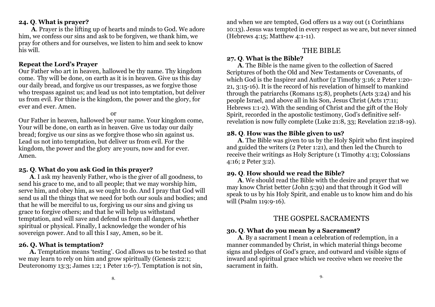#### **24. Q**. **What is prayer?**

 **A**. Prayer is the lifting up of hearts and minds to God. We adore him, we confess our sins and ask to be forgiven, we thank him, we pray for others and for ourselves, we listen to him and seek to know his will.

#### **Repeat the Lord's Prayer**

Our Father who art in heaven, hallowed be thy name. Thy kingdom come. Thy will be done, on earth as it is in heaven. Give us this day our daily bread, and forgive us our trespasses, as we forgive those who trespass against us; and lead us not into temptation, but deliver us from evil. For thine is the kingdom, the power and the glory, for ever and ever. Amen.

or

Our Father in heaven, hallowed be your name. Your kingdom come, Your will be done, on earth as in heaven. Give us today our daily bread; forgive us our sins as we forgive those who sin against us. Lead us not into temptation, but deliver us from evil. For the kingdom, the power and the glory are yours, now and for ever. Amen.

#### **25. Q**. **What do you ask God in this prayer?**

 **A**. I ask my heavenly Father, who is the giver of all goodness, to send his grace to me, and to all people; that we may worship him, serve him, and obey him, as we ought to do. And I pray that God will send us all the things that we need for both our souls and bodies; and that he will be merciful to us, forgiving us our sins and giving us grace to forgive others; and that he will help us withstand temptation, and will save and defend us from all dangers, whether spiritual or physical. Finally, I acknowledge the wonder of his sovereign power. And to all this I say, Amen, so be it.

#### **26. Q. What is temptation?**

 **A.** Temptation means 'testing'. God allows us to be tested so that we may learn to rely on him and grow spiritually (Genesis 22:1; Deuteronomy 13:3; James 1:2; 1 Peter 1:6-7). Temptation is not sin,

and when we are tempted, God offers us a way out (1 Corinthians 10:13). Jesus was tempted in every respect as we are, but never sinned (Hebrews 4:15; Matthew 4:1-11).

#### THE BIBLE

#### **27. Q**. **What is the Bible?**

 **A**. The Bible is the name given to the collection of Sacred Scriptures of both the Old and New Testaments or Covenants, of which God is the Inspirer and Author (2 Timothy 3:16; 2 Peter 1:20-21, 3:15-16). It is the record of his revelation of himself to mankind through the patriarchs (Romans 15:8), prophets (Acts 3:24) and his people Israel, and above all in his Son, Jesus Christ (Acts 17:11; Hebrews 1:1-2). With the sending of Christ and the gift of the Holy Spirit, recorded in the apostolic testimony, God's definitive selfrevelation is now fully complete (Luke 21:8, 33; Revelation 22:18-19).

#### **28. Q**. **How was the Bible given to us?**

 **A**. The Bible was given to us by the Holy Spirit who first inspired and guided the writers (2 Peter 1:21), and then led the Church to receive their writings as Holy Scripture (1 Timothy 4:13; Colossians 4:16; 2 Peter 3:2).

#### **29. Q**. **How should we read the Bible?**

 **A**. We should read the Bible with the desire and prayer that we may know Christ better (John 5:39) and that through it God will speak to us by his Holy Spirit, and enable us to know him and do his will (Psalm 119:9-16).

#### THE GOSPEL SACRAMENTS

#### **30. Q**. **What do you mean by a Sacrament?**

 **A**. By a sacrament I mean a celebration of redemption, in a manner commanded by Christ, in which material things become signs and pledges of God's grace, and outward and visible signs of inward and spiritual grace which we receive when we receive the sacrament in faith.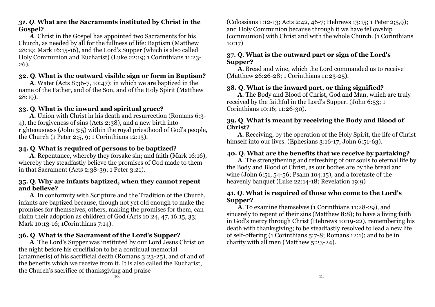#### *31. Q*. **What are the Sacraments instituted by Christ in the Gospel?**

 *A*. Christ in the Gospel has appointed two Sacraments for his Church, as needed by all for the fullness of life: Baptism (Matthew 28:19; Mark 16:15-16), and the Lord's Supper (which is also called Holy Communion and Eucharist) (Luke 22:19; 1 Corinthians 11:23- 26).

#### **32. Q**. **What is the outward visible sign or form in Baptism?**

 **A**. Water (Acts 8:36-7, 10:47); in which we are baptized in the name of the Father, and of the Son, and of the Holy Spirit (Matthew 28:19).

#### **33. Q**. **What is the inward and spiritual grace?**

 **A**. Union with Christ in his death and resurrection (Romans 6:3- 4), the forgiveness of sins (Acts 2:38), and a new birth into righteousness (John 3:5) within the royal priesthood of God's people, the Church (1 Peter 2:5, 9; 1 Corinthians 12:13).

#### **34. Q**. **What is required of persons to be baptized?**

 **A**. Repentance, whereby they forsake sin; and faith (Mark 16:16), whereby they steadfastly believe the promises of God made to them in that Sacrament (Acts 2:38-39; 1 Peter 3:21).

#### **35. Q**. **Why are infants baptized, when they cannot repent and believe?**

 **A**. In conformity with Scripture and the Tradition of the Church, infants are baptized because, though not yet old enough to make the promises for themselves, others, making the promises for them, can claim their adoption as children of God (Acts 10:24, 47, 16:15, 33; Mark 10:13-16; 1Corinthians 7:14).

#### **36. Q**. **What is the Sacrament of the Lord's Supper?**

 **A**. The Lord's Supper was instituted by our Lord Jesus Christ on the night before his crucifixion to be a continual memorial (anamnesis) of his sacrificial death (Romans 3:23-25), and of and of the benefits which we receive from it. It is also called the Eucharist, the Church's sacrifice of thanksgiving and praise

(Colossians 1:12-13; Acts 2:42, 46-7; Hebrews 13:15; 1 Peter 2;5,9); and Holy Communion because through it we have fellowship (communion) with Christ and with the whole Church. (1 Corinthians 10:17)

#### **37. Q**. **What is the outward part or sign of the Lord's Supper?**

 **A**. Bread and wine, which the Lord commanded us to receive (Matthew 26:26-28; 1 Corinthians 11:23-25).

#### **38. Q**. **What is the inward part, or thing signified?**

 **A**. The Body and Blood of Christ, God and Man, which are truly received by the faithful in the Lord's Supper. (John 6:53; 1 Corinthians 10:16; 11:26-30).

#### **39. Q**. **What is meant by receiving the Body and Blood of Christ?**

 **A**. Receiving, by the operation of the Holy Spirit, the life of Christ himself into our lives. (Ephesians 3:16-17; John 6:51-63).

#### **40. Q**. **What are the benefits that we receive by partaking?**

 **A**. The strengthening and refreshing of our souls to eternal life by the Body and Blood of Christ, as our bodies are by the bread and wine (John 6:51, 54-56; Psalm 104:15), and a foretaste of the heavenly banquet (Luke 22:14-18; Revelation 19:9)

#### **41. Q**. **What is required of those who come to the Lord's Supper?**

 **A**. To examine themselves (1 Corinthians 11:28-29), and sincerely to repent of their sins (Matthew 8:8); to have a living faith in God's mercy through Christ (Hebrews 10:19-22), remembering his death with thanksgiving; to be steadfastly resolved to lead a new life of self-offering (1 Corinthians 5:7-8; Romans 12:1); and to be in charity with all men (Matthew 5:23-24).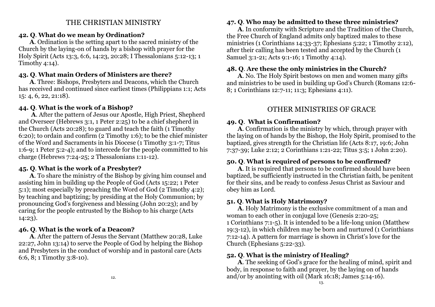#### THE CHRISTIAN MINISTRY

#### **42. Q**. **What do we mean by Ordination?**

 **A**. Ordination is the setting apart to the sacred ministry of the Church by the laying-on of hands by a bishop with prayer for the Holy Spirit (Acts 13:3, 6:6, 14:23, 20:28; I Thessalonians 5:12-13; 1 Timothy 4:14).

#### **43. Q**. **What main Orders of Ministers are there?**

 **A**. Three: Bishops, Presbyters and Deacons, which the Church has received and continued since earliest times (Philippians 1:1; Acts 15: 4, 6, 22, 21:18).

#### **44. Q**. **What is the work of a Bishop?**

 **A**. After the pattern of Jesus our Apostle, High Priest, Shepherd and Overseer (Hebrews 3:1, 1 Peter 2:25) to be a chief shepherd in the Church (Acts 20:28); to guard and teach the faith (1 Timothy 6:20); to ordain and confirm (2 Timothy 1:6); to be the chief minister of the Word and Sacraments in his Diocese (1 Timothy 3:1-7; Titus 1:6-9; 1 Peter 5:2-4); and to intercede for the people committed to his charge (Hebrews 7:24-25; 2 Thessalonians 1:11-12).

#### **45. Q**. **What is the work of a Presbyter?**

 **A**. To share the ministry of the Bishop by giving him counsel and assisting him in building up the People of God (Acts 15:22; 1 Peter 5:1); most especially by preaching the Word of God (2 Timothy 4:2); by teaching and baptizing; by presiding at the Holy Communion; by pronouncing God's forgiveness and blessing (John 20:23); and by caring for the people entrusted by the Bishop to his charge (Acts 14:23).

## **46. Q**. **What is the work of a Deacon?**

 **A**. After the pattern of Jesus the Servant (Matthew 20:28, Luke 22:27, John 13:14) to serve the People of God by helping the Bishop and Presbyters in the conduct of worship and in pastoral care (Acts 6:6, 8; 1 Timothy 3:8-10).

## **47. Q**. **Who may be admitted to these three ministries?**

 **A**. In conformity with Scripture and the Tradition of the Church, the Free Church of England admits only baptized males to these ministries (1 Corinthians 14:33-37; Ephesians 5:22; 1 Timothy 2:12), after their calling has been tested and accepted by the Church (1 Samuel 3:1-21; Acts 9:1-16; 1 Timothy 4:14).

#### **48. Q**. **Are these the only ministries in the Church?**

 **A**. No. The Holy Spirit bestows on men and women many gifts and ministries to be used in building up God's Church (Romans 12:6- 8; 1 Corinthians 12:7-11; 11:3; Ephesians 4:11).

## OTHER MINISTRIES OF GRACE

#### **49. Q**.**What is Confirmation?**

 **A**. Confirmation is the ministry by which, through prayer with the laying on of hands by the Bishop, the Holy Spirit, promised to the baptized, gives strength for the Christian life (Acts 8:17, 19:6; John 7:37-39; Luke 2:12; 2 Corinthians 1:21-22; Titus 3:5; 1 John 2:20).

#### **50. Q**. **What is required of persons to be confirmed?**

 **A**. It is required that persons to be confirmed should have been baptized, be sufficiently instructed in the Christian faith, be penitent for their sins, and be ready to confess Jesus Christ as Saviour and obey him as Lord.

#### **51. Q**. **What is Holy Matrimony?**

 **A**. Holy Matrimony is the exclusive commitment of a man and woman to each other in conjugal love (Genesis 2:20-25; 1 Corinthians 7:1-5). It is intended to be a life-long union (Matthew 19:3-12), in which children may be born and nurtured (1 Corinthians 7:12-14). A pattern for marriage is shown in Christ's love for the Church (Ephesians 5:22-33).

#### **52. Q**. **What is the ministry of Healing?**

 **A**. The seeking of God's grace for the healing of mind, spirit and body, in response to faith and prayer, by the laying on of hands and/or by anointing with oil (Mark 16:18; James 5:14-16).